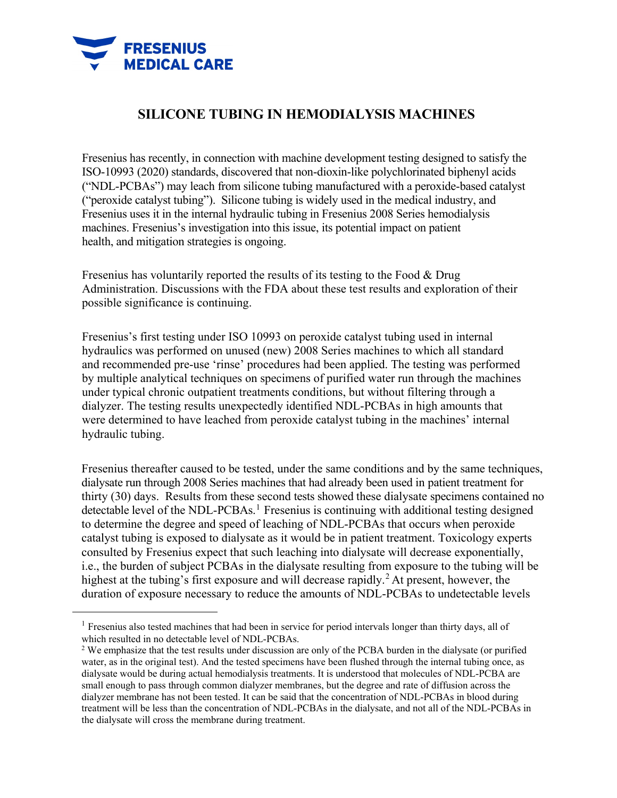

<span id="page-0-0"></span> $\overline{a}$ 

## **SILICONE TUBING IN HEMODIALYSIS MACHINES**

Fresenius has recently, in connection with machine development testing designed to satisfy the ISO-10993 (2020) standards, discovered that non-dioxin-like polychlorinated biphenyl acids ("NDL-PCBAs") may leach from silicone tubing manufactured with a peroxide-based catalyst ("peroxide catalyst tubing"). Silicone tubing is widely used in the medical industry, and Fresenius uses it in the internal hydraulic tubing in Fresenius 2008 Series hemodialysis machines. Fresenius's investigation into this issue, its potential impact on patient health, and mitigation strategies is ongoing.

Fresenius has voluntarily reported the results of its testing to the Food & Drug Administration. Discussions with the FDA about these test results and exploration of their possible significance is continuing.

Fresenius's first testing under ISO 10993 on peroxide catalyst tubing used in internal hydraulics was performed on unused (new) 2008 Series machines to which all standard and recommended pre-use 'rinse' procedures had been applied. The testing was performed by multiple analytical techniques on specimens of purified water run through the machines under typical chronic outpatient treatments conditions, but without filtering through a dialyzer. The testing results unexpectedly identified NDL-PCBAs in high amounts that were determined to have leached from peroxide catalyst tubing in the machines' internal hydraulic tubing.

Fresenius thereafter caused to be tested, under the same conditions and by the same techniques, dialysate run through 2008 Series machines that had already been used in patient treatment for thirty (30) days. Results from these second tests showed these dialysate specimens contained no detectable level of the NDL-PCBAs.<sup>[1](#page-0-0)</sup> Fresenius is continuing with additional testing designed to determine the degree and speed of leaching of NDL-PCBAs that occurs when peroxide catalyst tubing is exposed to dialysate as it would be in patient treatment. Toxicology experts consulted by Fresenius expect that such leaching into dialysate will decrease exponentially, i.e., the burden of subject PCBAs in the dialysate resulting from exposure to the tubing will be highest at the tubing's first exposure and will decrease rapidly.<sup>2</sup> At present, however, the duration of exposure necessary to reduce the amounts of NDL-PCBAs to undetectable levels

 $<sup>1</sup>$  Fresenius also tested machines that had been in service for period intervals longer than thirty days, all of</sup> which resulted in no detectable level of NDL-PCBAs.

<span id="page-0-1"></span><sup>&</sup>lt;sup>2</sup> We emphasize that the test results under discussion are only of the PCBA burden in the dialysate (or purified water, as in the original test). And the tested specimens have been flushed through the internal tubing once, as dialysate would be during actual hemodialysis treatments. It is understood that molecules of NDL-PCBA are small enough to pass through common dialyzer membranes, but the degree and rate of diffusion across the dialyzer membrane has not been tested. It can be said that the concentration of NDL-PCBAs in blood during treatment will be less than the concentration of NDL-PCBAs in the dialysate, and not all of the NDL-PCBAs in the dialysate will cross the membrane during treatment.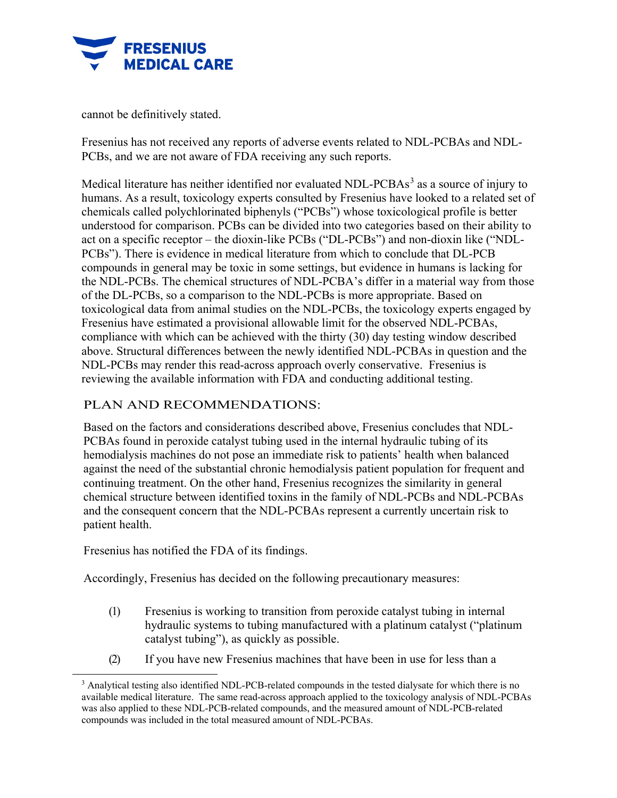

cannot be definitively stated.

Fresenius has not received any reports of adverse events related to NDL-PCBAs and NDL-PCBs, and we are not aware of FDA receiving any such reports.

Medical literature has neither identified nor evaluated NDL-PCBAs<sup>[3](#page-1-0)</sup> as a source of injury to humans. As a result, toxicology experts consulted by Fresenius have looked to a related set of chemicals called polychlorinated biphenyls ("PCBs") whose toxicological profile is better understood for comparison. PCBs can be divided into two categories based on their ability to act on a specific receptor – the dioxin-like PCBs ("DL-PCBs") and non-dioxin like ("NDL-PCBs"). There is evidence in medical literature from which to conclude that DL-PCB compounds in general may be toxic in some settings, but evidence in humans is lacking for the NDL-PCBs. The chemical structures of NDL-PCBA's differ in a material way from those of the DL-PCBs, so a comparison to the NDL-PCBs is more appropriate. Based on toxicological data from animal studies on the NDL-PCBs, the toxicology experts engaged by Fresenius have estimated a provisional allowable limit for the observed NDL-PCBAs, compliance with which can be achieved with the thirty (30) day testing window described above. Structural differences between the newly identified NDL-PCBAs in question and the NDL-PCBs may render this read-across approach overly conservative. Fresenius is reviewing the available information with FDA and conducting additional testing.

## PLAN AND RECOMMENDATIONS:

Based on the factors and considerations described above, Fresenius concludes that NDL-PCBAs found in peroxide catalyst tubing used in the internal hydraulic tubing of its hemodialysis machines do not pose an immediate risk to patients' health when balanced against the need of the substantial chronic hemodialysis patient population for frequent and continuing treatment. On the other hand, Fresenius recognizes the similarity in general chemical structure between identified toxins in the family of NDL-PCBs and NDL-PCBAs and the consequent concern that the NDL-PCBAs represent a currently uncertain risk to patient health.

Fresenius has notified the FDA of its findings.

Accordingly, Fresenius has decided on the following precautionary measures:

- (1) Fresenius is working to transition from peroxide catalyst tubing in internal hydraulic systems to tubing manufactured with a platinum catalyst ("platinum catalyst tubing"), as quickly as possible.
- (2) If you have new Fresenius machines that have been in use for less than a

<span id="page-1-0"></span><sup>&</sup>lt;sup>3</sup> Analytical testing also identified NDL-PCB-related compounds in the tested dialysate for which there is no available medical literature. The same read-across approach applied to the toxicology analysis of NDL-PCBAs was also applied to these NDL-PCB-related compounds, and the measured amount of NDL-PCB-related compounds was included in the total measured amount of NDL-PCBAs.